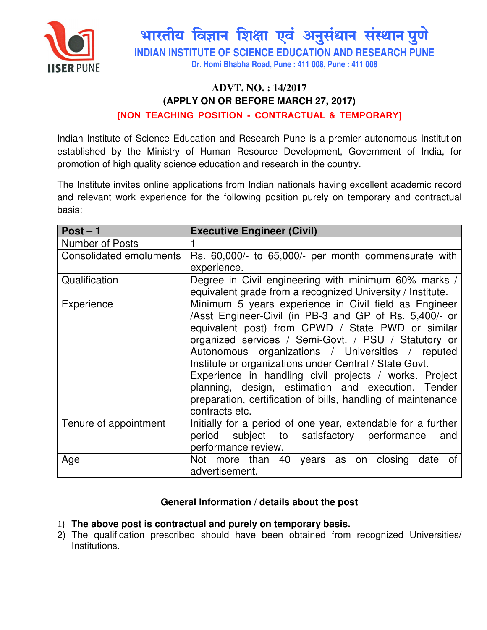

भारतीय विज्ञान शिक्षा एवं अनुसंधान संस्थान पुणे

**INDIAN INSTITUTE OF SCIENCE EDUCATION AND RESEARCH PUNE** 

**Dr. Homi Bhabha Road, Pune : 411 008, Pune : 411 008** 

# **ADVT. NO. : 14/2017 (APPLY ON OR BEFORE MARCH 27, 2017)**

### [NON TEACHING POSITION - CONTRACTUAL & TEMPORARY]

Indian Institute of Science Education and Research Pune is a premier autonomous Institution established by the Ministry of Human Resource Development, Government of India, for promotion of high quality science education and research in the country.

The Institute invites online applications from Indian nationals having excellent academic record and relevant work experience for the following position purely on temporary and contractual basis:

| $Post - 1$                     | <b>Executive Engineer (Civil)</b>                            |
|--------------------------------|--------------------------------------------------------------|
| <b>Number of Posts</b>         |                                                              |
| <b>Consolidated emoluments</b> | Rs. 60,000/- to 65,000/- per month commensurate with         |
|                                | experience.                                                  |
| Qualification                  | Degree in Civil engineering with minimum 60% marks /         |
|                                | equivalent grade from a recognized University / Institute.   |
| Experience                     | Minimum 5 years experience in Civil field as Engineer        |
|                                | /Asst Engineer-Civil (in PB-3 and GP of Rs. 5,400/- or       |
|                                | equivalent post) from CPWD / State PWD or similar            |
|                                | organized services / Semi-Govt. / PSU / Statutory or         |
|                                | Autonomous organizations / Universities / reputed            |
|                                | Institute or organizations under Central / State Govt.       |
|                                | Experience in handling civil projects / works. Project       |
|                                | planning, design, estimation and execution. Tender           |
|                                | preparation, certification of bills, handling of maintenance |
|                                | contracts etc.                                               |
| Tenure of appointment          | Initially for a period of one year, extendable for a further |
|                                | period subject to satisfactory performance<br>and            |
|                                | performance review.                                          |
| Age                            | Not more than 40 years as on closing<br>date<br>οf           |
|                                | advertisement.                                               |

## **General Information / details about the post**

#### 1) **The above post is contractual and purely on temporary basis.**

2) The qualification prescribed should have been obtained from recognized Universities/ Institutions.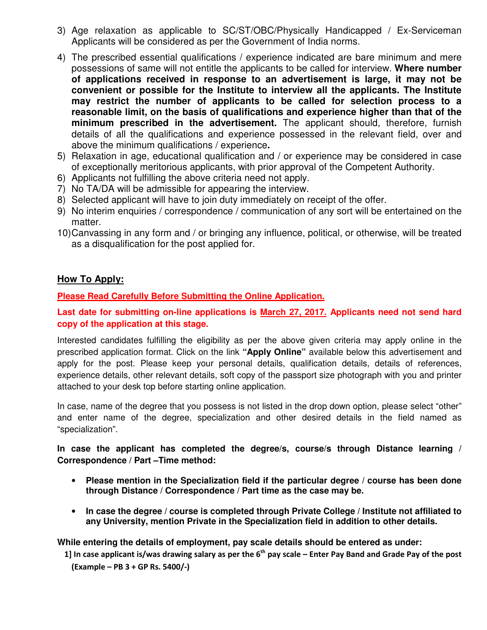- 3) Age relaxation as applicable to SC/ST/OBC/Physically Handicapped / Ex-Serviceman Applicants will be considered as per the Government of India norms.
- 4) The prescribed essential qualifications / experience indicated are bare minimum and mere possessions of same will not entitle the applicants to be called for interview. **Where number of applications received in response to an advertisement is large, it may not be convenient or possible for the Institute to interview all the applicants. The Institute may restrict the number of applicants to be called for selection process to a reasonable limit, on the basis of qualifications and experience higher than that of the minimum prescribed in the advertisement.** The applicant should, therefore, furnish details of all the qualifications and experience possessed in the relevant field, over and above the minimum qualifications / experience**.**
- 5) Relaxation in age, educational qualification and / or experience may be considered in case of exceptionally meritorious applicants, with prior approval of the Competent Authority.
- 6) Applicants not fulfilling the above criteria need not apply.
- 7) No TA/DA will be admissible for appearing the interview.
- 8) Selected applicant will have to join duty immediately on receipt of the offer.
- 9) No interim enquiries / correspondence / communication of any sort will be entertained on the matter.
- 10) Canvassing in any form and / or bringing any influence, political, or otherwise, will be treated as a disqualification for the post applied for.

#### **How To Apply:**

**Please Read Carefully Before Submitting the Online Application.**

**Last date for submitting on-line applications is March 27, 2017. Applicants need not send hard copy of the application at this stage.** 

Interested candidates fulfilling the eligibility as per the above given criteria may apply online in the prescribed application format. Click on the link **"Apply Online"** available below this advertisement and apply for the post. Please keep your personal details, qualification details, details of references, experience details, other relevant details, soft copy of the passport size photograph with you and printer attached to your desk top before starting online application.

In case, name of the degree that you possess is not listed in the drop down option, please select "other" and enter name of the degree, specialization and other desired details in the field named as "specialization".

**In case the applicant has completed the degree/s, course/s through Distance learning / Correspondence / Part –Time method:** 

- **Please mention in the Specialization field if the particular degree / course has been done through Distance / Correspondence / Part time as the case may be.**
- **In case the degree / course is completed through Private College / Institute not affiliated to any University, mention Private in the Specialization field in addition to other details.**

**While entering the details of employment, pay scale details should be entered as under:** 

1] In case applicant is/was drawing salary as per the  $6<sup>th</sup>$  pay scale – Enter Pay Band and Grade Pay of the post (Example – PB 3 + GP Rs. 5400/-)